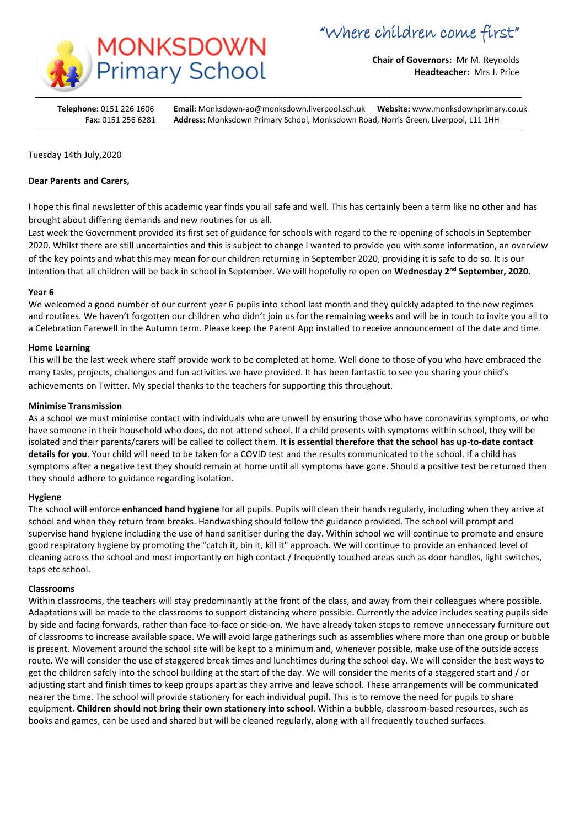

**Chair of Governors:** Mr M. Reynolds **Headteacher:** Mrs J. Price

**Telephone:** 0151 226 1606 **Email:** Monksdown-ao@monksdown.liverpool.sch.uk **Website:** www[.monksdownprimary.co.uk](http://www.monksdownprimary.co.uk/) **Fax:** 0151 256 6281 **Address:** Monksdown Primary School, Monksdown Road, Norris Green, Liverpool, L11 1HH

# Tuesday 14th July,2020

## **Dear Parents and Carers,**

I hope this final newsletter of this academic year finds you all safe and well. This has certainly been a term like no other and has brought about differing demands and new routines for us all.

Last week the Government provided its first set of guidance for schools with regard to the re-opening of schools in September 2020. Whilst there are still uncertainties and this is subject to change I wanted to provide you with some information, an overview of the key points and what this may mean for our children returning in September 2020, providing it is safe to do so. It is our intention that all children will be back in school in September. We will hopefully re open on **Wednesday 2nd September, 2020.**

### **Year 6**

We welcomed a good number of our current year 6 pupils into school last month and they quickly adapted to the new regimes and routines. We haven't forgotten our children who didn't join us for the remaining weeks and will be in touch to invite you all to a Celebration Farewell in the Autumn term. Please keep the Parent App installed to receive announcement of the date and time.

## **Home Learning**

This will be the last week where staff provide work to be completed at home. Well done to those of you who have embraced the many tasks, projects, challenges and fun activities we have provided. It has been fantastic to see you sharing your child's achievements on Twitter. My special thanks to the teachers for supporting this throughout.

## **Minimise Transmission**

As a school we must minimise contact with individuals who are unwell by ensuring those who have coronavirus symptoms, or who have someone in their household who does, do not attend school. If a child presents with symptoms within school, they will be isolated and their parents/carers will be called to collect them. **It is essential therefore that the school has up-to-date contact details for you**. Your child will need to be taken for a COVID test and the results communicated to the school. If a child has symptoms after a negative test they should remain at home until all symptoms have gone. Should a positive test be returned then they should adhere to guidance regarding isolation.

# **Hygiene**

The school will enforce **enhanced hand hygiene** for all pupils. Pupils will clean their hands regularly, including when they arrive at school and when they return from breaks. Handwashing should follow the guidance provided. The school will prompt and supervise hand hygiene including the use of hand sanitiser during the day. Within school we will continue to promote and ensure good respiratory hygiene by promoting the "catch it, bin it, kill it" approach. We will continue to provide an enhanced level of cleaning across the school and most importantly on high contact / frequently touched areas such as door handles, light switches, taps etc school.

### **Classrooms**

Within classrooms, the teachers will stay predominantly at the front of the class, and away from their colleagues where possible. Adaptations will be made to the classrooms to support distancing where possible. Currently the advice includes seating pupils side by side and facing forwards, rather than face-to-face or side-on. We have already taken steps to remove unnecessary furniture out of classrooms to increase available space. We will avoid large gatherings such as assemblies where more than one group or bubble is present. Movement around the school site will be kept to a minimum and, whenever possible, make use of the outside access route. We will consider the use of staggered break times and lunchtimes during the school day. We will consider the best ways to get the children safely into the school building at the start of the day. We will consider the merits of a staggered start and / or adjusting start and finish times to keep groups apart as they arrive and leave school. These arrangements will be communicated nearer the time. The school will provide stationery for each individual pupil. This is to remove the need for pupils to share equipment. **Children should not bring their own stationery into school**. Within a bubble, classroom-based resources, such as books and games, can be used and shared but will be cleaned regularly, along with all frequently touched surfaces.